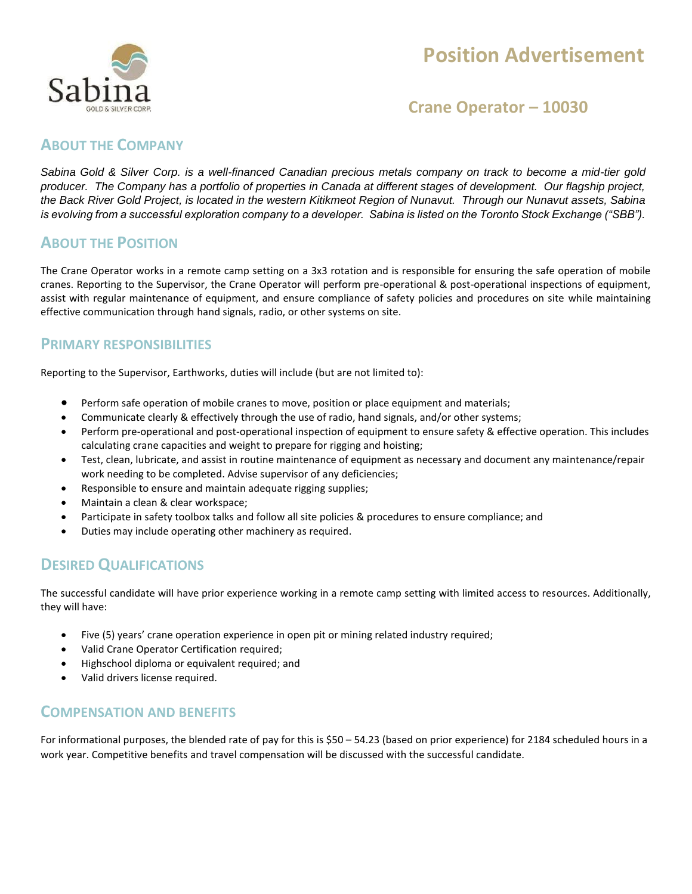

# **Position Advertisement**

## **Crane Operator – 10030**

#### **ABOUT THE COMPANY**

*Sabina Gold & Silver Corp. is a well-financed Canadian precious metals company on track to become a mid-tier gold producer. The Company has a portfolio of properties in Canada at different stages of development. Our flagship project, the Back River Gold Project, is located in the western Kitikmeot Region of Nunavut. Through our Nunavut assets, Sabina is evolving from a successful exploration company to a developer. Sabina is listed on the Toronto Stock Exchange ("SBB").*

### **ABOUT THE POSITION**

The Crane Operator works in a remote camp setting on a 3x3 rotation and is responsible for ensuring the safe operation of mobile cranes. Reporting to the Supervisor, the Crane Operator will perform pre-operational & post-operational inspections of equipment, assist with regular maintenance of equipment, and ensure compliance of safety policies and procedures on site while maintaining effective communication through hand signals, radio, or other systems on site.

#### **PRIMARY RESPONSIBILITIES**

Reporting to the Supervisor, Earthworks, duties will include (but are not limited to):

- Perform safe operation of mobile cranes to move, position or place equipment and materials;
- Communicate clearly & effectively through the use of radio, hand signals, and/or other systems;
- Perform pre-operational and post-operational inspection of equipment to ensure safety & effective operation. This includes calculating crane capacities and weight to prepare for rigging and hoisting;
- Test, clean, lubricate, and assist in routine maintenance of equipment as necessary and document any maintenance/repair work needing to be completed. Advise supervisor of any deficiencies;
- Responsible to ensure and maintain adequate rigging supplies;
- Maintain a clean & clear workspace;
- Participate in safety toolbox talks and follow all site policies & procedures to ensure compliance; and
- Duties may include operating other machinery as required.

#### **DESIRED QUALIFICATIONS**

The successful candidate will have prior experience working in a remote camp setting with limited access to resources. Additionally, they will have:

- Five (5) years' crane operation experience in open pit or mining related industry required;
- Valid Crane Operator Certification required;
- Highschool diploma or equivalent required; and
- Valid drivers license required.

#### **COMPENSATION AND BENEFITS**

For informational purposes, the blended rate of pay for this is \$50 – 54.23 (based on prior experience) for 2184 scheduled hours in a work year. Competitive benefits and travel compensation will be discussed with the successful candidate.